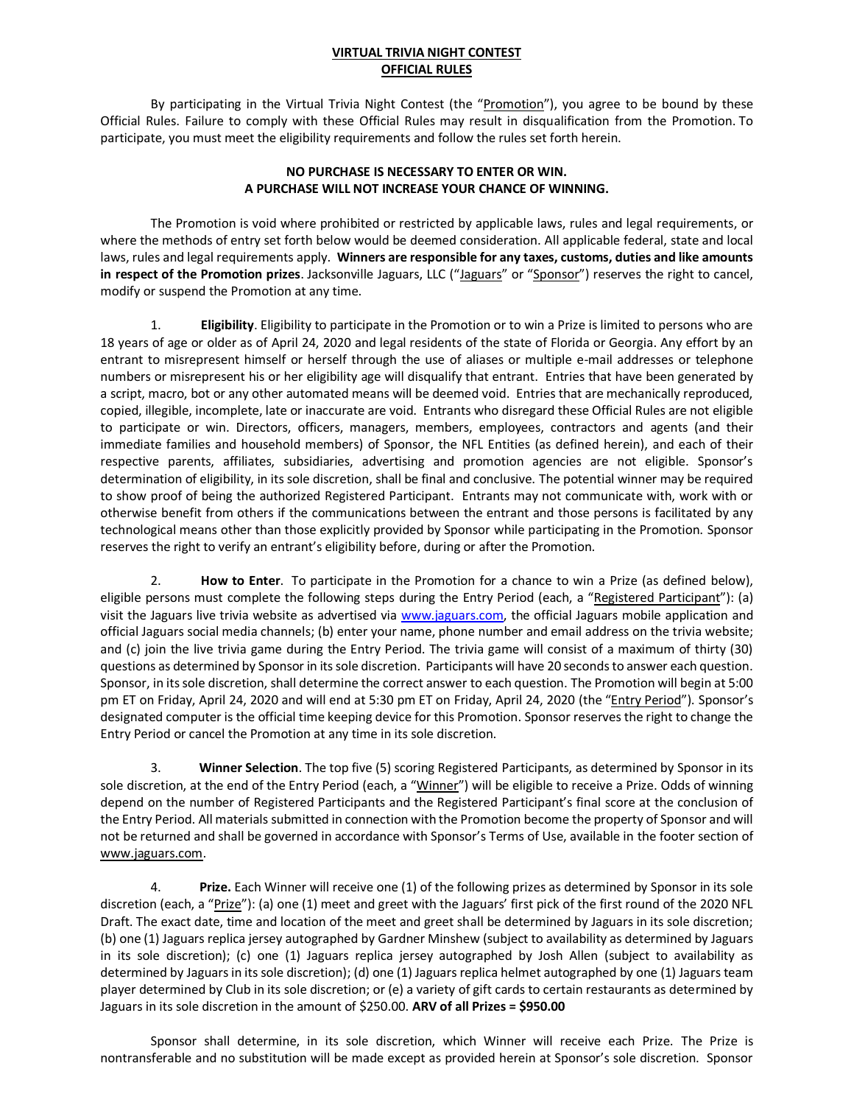## **VIRTUAL TRIVIA NIGHT CONTEST OFFICIAL RULES**

By participating in the Virtual Trivia Night Contest (the "Promotion"), you agree to be bound by these Official Rules. Failure to comply with these Official Rules may result in disqualification from the Promotion. To participate, you must meet the eligibility requirements and follow the rules set forth herein.

## **NO PURCHASE IS NECESSARY TO ENTER OR WIN. A PURCHASE WILL NOT INCREASE YOUR CHANCE OF WINNING.**

The Promotion is void where prohibited or restricted by applicable laws, rules and legal requirements, or where the methods of entry set forth below would be deemed consideration. All applicable federal, state and local laws, rules and legal requirements apply. **Winners are responsible for any taxes, customs, duties and like amounts in respect of the Promotion prizes**. Jacksonville Jaguars, LLC ("Jaguars" or "Sponsor") reserves the right to cancel, modify or suspend the Promotion at any time.

1. **Eligibility**. Eligibility to participate in the Promotion or to win a Prize is limited to persons who are 18 years of age or older as of April 24, 2020 and legal residents of the state of Florida or Georgia. Any effort by an entrant to misrepresent himself or herself through the use of aliases or multiple e-mail addresses or telephone numbers or misrepresent his or her eligibility age will disqualify that entrant. Entries that have been generated by a script, macro, bot or any other automated means will be deemed void. Entries that are mechanically reproduced, copied, illegible, incomplete, late or inaccurate are void. Entrants who disregard these Official Rules are not eligible to participate or win. Directors, officers, managers, members, employees, contractors and agents (and their immediate families and household members) of Sponsor, the NFL Entities (as defined herein), and each of their respective parents, affiliates, subsidiaries, advertising and promotion agencies are not eligible. Sponsor's determination of eligibility, in its sole discretion, shall be final and conclusive. The potential winner may be required to show proof of being the authorized Registered Participant. Entrants may not communicate with, work with or otherwise benefit from others if the communications between the entrant and those persons is facilitated by any technological means other than those explicitly provided by Sponsor while participating in the Promotion. Sponsor reserves the right to verify an entrant's eligibility before, during or after the Promotion.

2. **How to Enter**. To participate in the Promotion for a chance to win a Prize (as defined below), eligible persons must complete the following steps during the Entry Period (each, a "Registered Participant"): (a) visit the Jaguars live trivia website as advertised via [www.jaguars.com,](http://www.jaguars.com/) the official Jaguars mobile application and official Jaguars social media channels; (b) enter your name, phone number and email address on the trivia website; and (c) join the live trivia game during the Entry Period. The trivia game will consist of a maximum of thirty (30) questions as determined by Sponsor in its sole discretion. Participants will have 20 seconds to answer each question. Sponsor, in its sole discretion, shall determine the correct answer to each question. The Promotion will begin at 5:00 pm ET on Friday, April 24, 2020 and will end at 5:30 pm ET on Friday, April 24, 2020 (the "Entry Period"). Sponsor's designated computer is the official time keeping device for this Promotion. Sponsor reserves the right to change the Entry Period or cancel the Promotion at any time in its sole discretion.

3. **Winner Selection**. The top five (5) scoring Registered Participants, as determined by Sponsor in its sole discretion, at the end of the Entry Period (each, a "Winner") will be eligible to receive a Prize. Odds of winning depend on the number of Registered Participants and the Registered Participant's final score at the conclusion of the Entry Period. All materials submitted in connection with the Promotion become the property of Sponsor and will not be returned and shall be governed in accordance with Sponsor's Terms of Use, available in the footer section of [www.jaguars.com.](http://www.jaguars.com/)

4. **Prize.** Each Winner will receive one (1) of the following prizes as determined by Sponsor in its sole discretion (each, a "Prize"): (a) one (1) meet and greet with the Jaguars' first pick of the first round of the 2020 NFL Draft. The exact date, time and location of the meet and greet shall be determined by Jaguars in its sole discretion; (b) one (1) Jaguars replica jersey autographed by Gardner Minshew (subject to availability as determined by Jaguars in its sole discretion); (c) one (1) Jaguars replica jersey autographed by Josh Allen (subject to availability as determined by Jaguars in its sole discretion); (d) one (1) Jaguars replica helmet autographed by one (1) Jaguars team player determined by Club in its sole discretion; or (e) a variety of gift cards to certain restaurants as determined by Jaguars in its sole discretion in the amount of \$250.00. **ARV of all Prizes = \$950.00**

Sponsor shall determine, in its sole discretion, which Winner will receive each Prize. The Prize is nontransferable and no substitution will be made except as provided herein at Sponsor's sole discretion. Sponsor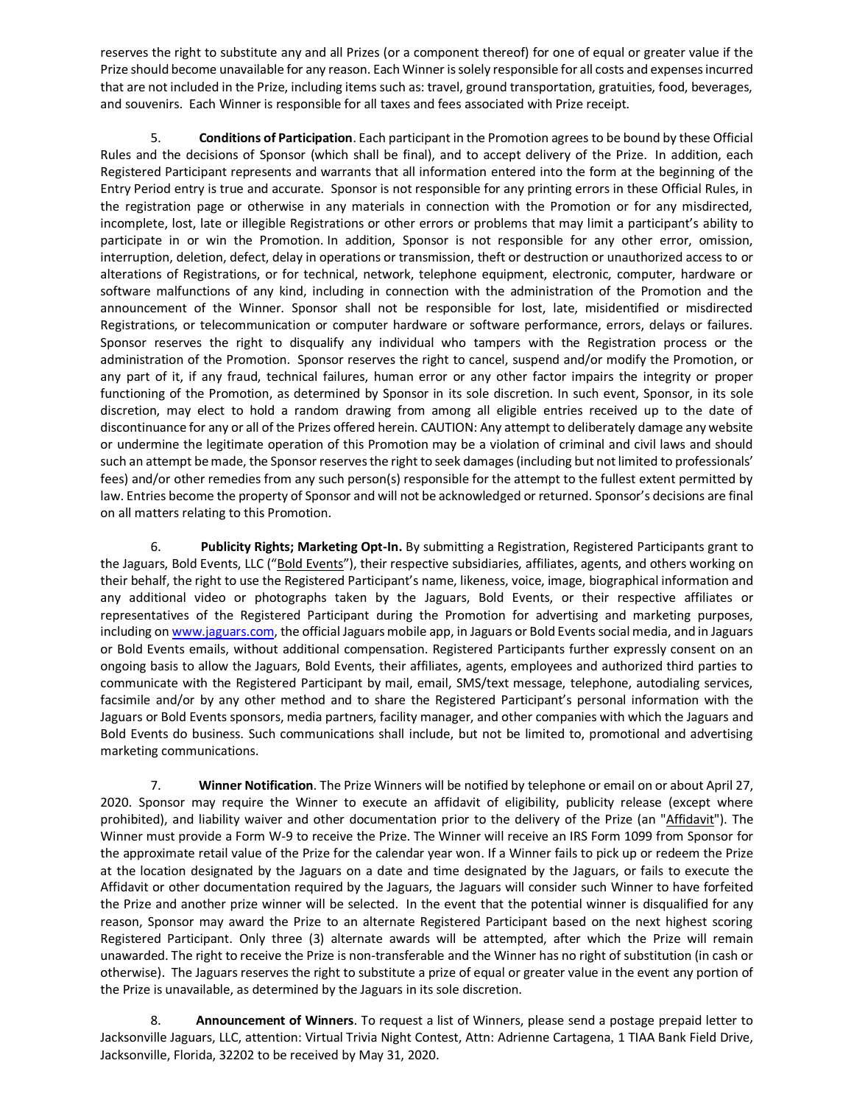reserves the right to substitute any and all Prizes (or a component thereof) for one of equal or greater value if the Prize should become unavailable for any reason. Each Winner is solely responsible for all costs and expenses incurred that are not included in the Prize, including items such as: travel, ground transportation, gratuities, food, beverages, and souvenirs. Each Winner is responsible for all taxes and fees associated with Prize receipt.

5. **Conditions of Participation**. Each participant in the Promotion agrees to be bound by these Official Rules and the decisions of Sponsor (which shall be final), and to accept delivery of the Prize. In addition, each Registered Participant represents and warrants that all information entered into the form at the beginning of the Entry Period entry is true and accurate. Sponsor is not responsible for any printing errors in these Official Rules, in the registration page or otherwise in any materials in connection with the Promotion or for any misdirected, incomplete, lost, late or illegible Registrations or other errors or problems that may limit a participant's ability to participate in or win the Promotion. In addition, Sponsor is not responsible for any other error, omission, interruption, deletion, defect, delay in operations or transmission, theft or destruction or unauthorized access to or alterations of Registrations, or for technical, network, telephone equipment, electronic, computer, hardware or software malfunctions of any kind, including in connection with the administration of the Promotion and the announcement of the Winner. Sponsor shall not be responsible for lost, late, misidentified or misdirected Registrations, or telecommunication or computer hardware or software performance, errors, delays or failures. Sponsor reserves the right to disqualify any individual who tampers with the Registration process or the administration of the Promotion. Sponsor reserves the right to cancel, suspend and/or modify the Promotion, or any part of it, if any fraud, technical failures, human error or any other factor impairs the integrity or proper functioning of the Promotion, as determined by Sponsor in its sole discretion. In such event, Sponsor, in its sole discretion, may elect to hold a random drawing from among all eligible entries received up to the date of discontinuance for any or all of the Prizes offered herein. CAUTION: Any attempt to deliberately damage any website or undermine the legitimate operation of this Promotion may be a violation of criminal and civil laws and should such an attempt be made, the Sponsor reservesthe right to seek damages (including but not limited to professionals' fees) and/or other remedies from any such person(s) responsible for the attempt to the fullest extent permitted by law. Entries become the property of Sponsor and will not be acknowledged or returned. Sponsor's decisions are final on all matters relating to this Promotion.

6. **Publicity Rights; Marketing Opt-In.** By submitting a Registration, Registered Participants grant to the Jaguars, Bold Events, LLC ("Bold Events"), their respective subsidiaries, affiliates, agents, and others working on their behalf, the right to use the Registered Participant's name, likeness, voice, image, biographical information and any additional video or photographs taken by the Jaguars, Bold Events, or their respective affiliates or representatives of the Registered Participant during the Promotion for advertising and marketing purposes, including o[n www.jaguars.com,](http://www.jaguars.com/) the official Jaguars mobile app, in Jaguars or Bold Events social media, and in Jaguars or Bold Events emails, without additional compensation. Registered Participants further expressly consent on an ongoing basis to allow the Jaguars, Bold Events, their affiliates, agents, employees and authorized third parties to communicate with the Registered Participant by mail, email, SMS/text message, telephone, autodialing services, facsimile and/or by any other method and to share the Registered Participant's personal information with the Jaguars or Bold Events sponsors, media partners, facility manager, and other companies with which the Jaguars and Bold Events do business. Such communications shall include, but not be limited to, promotional and advertising marketing communications.

7. **Winner Notification**. The Prize Winners will be notified by telephone or email on or about April 27, 2020. Sponsor may require the Winner to execute an affidavit of eligibility, publicity release (except where prohibited), and liability waiver and other documentation prior to the delivery of the Prize (an "Affidavit"). The Winner must provide a Form W-9 to receive the Prize. The Winner will receive an IRS Form 1099 from Sponsor for the approximate retail value of the Prize for the calendar year won. If a Winner fails to pick up or redeem the Prize at the location designated by the Jaguars on a date and time designated by the Jaguars, or fails to execute the Affidavit or other documentation required by the Jaguars, the Jaguars will consider such Winner to have forfeited the Prize and another prize winner will be selected. In the event that the potential winner is disqualified for any reason, Sponsor may award the Prize to an alternate Registered Participant based on the next highest scoring Registered Participant. Only three (3) alternate awards will be attempted, after which the Prize will remain unawarded. The right to receive the Prize is non-transferable and the Winner has no right of substitution (in cash or otherwise). The Jaguars reserves the right to substitute a prize of equal or greater value in the event any portion of the Prize is unavailable, as determined by the Jaguars in its sole discretion.

8. **Announcement of Winners**. To request a list of Winners, please send a postage prepaid letter to Jacksonville Jaguars, LLC, attention: Virtual Trivia Night Contest, Attn: Adrienne Cartagena, 1 TIAA Bank Field Drive, Jacksonville, Florida, 32202 to be received by May 31, 2020.